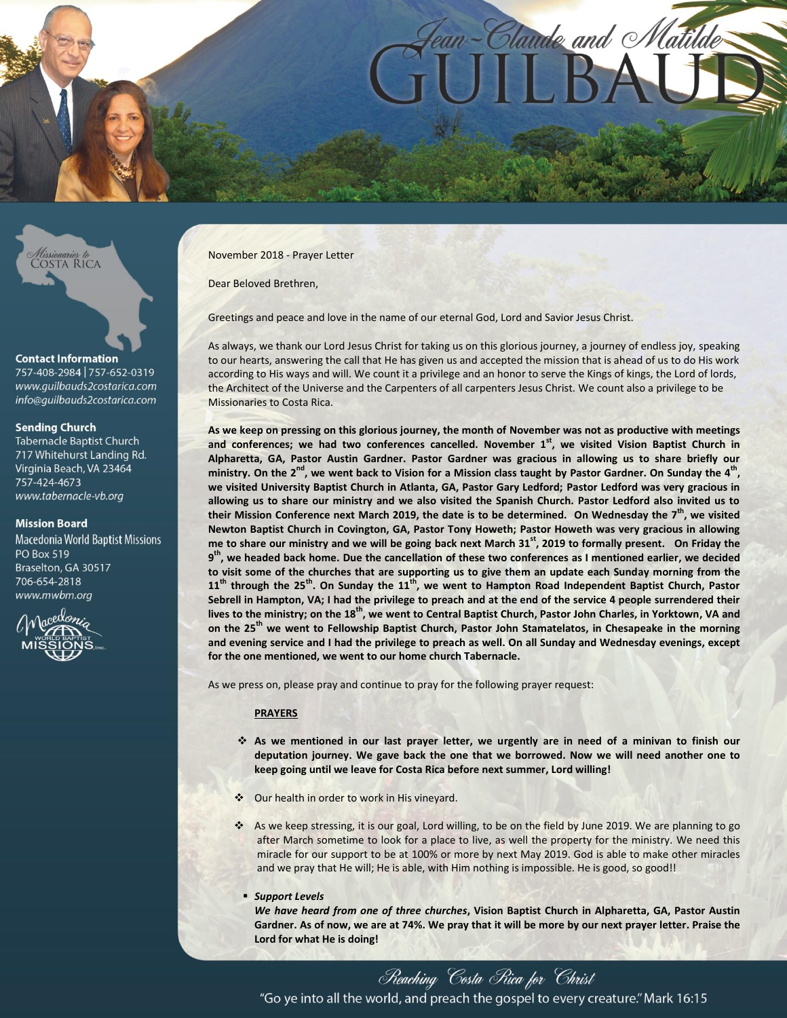



#### **Contact Information**

757-408-2984 | 757-652-0319 www.quilbauds2costarica.com info@quilbauds2costarica.com

#### **Sending Church**

**Tabernacle Baptist Church** 717 Whitehurst Landing Rd. Virginia Beach, VA 23464 757-424-4673 www.tabernacle-vb.org

#### **Mission Board**

**Macedonia World Baptist Missions PO Box 519** Braselton, GA 30517 706-654-2818 www.mwbm.org



November 2018 - Prayer Letter

Dear Beloved Brethren,

Greetings and peace and love in the name of our eternal God, Lord and Savior Jesus Christ.

As always, we thank our Lord Jesus Christ for taking us on this glorious journey, a journey of endless joy, speaking to our hearts, answering the call that He has given us and accepted the mission that is ahead of us to do His work according to His ways and will. We count it a privilege and an honor to serve the Kings of kings, the Lord of lords, the Architect of the Universe and the Carpenters of all carpenters Jesus Christ. We count also a privilege to be Missionaries to Costa Rica.

**As we keep on pressing on this glorious journey, the month of November was not as productive with meetings and conferences; we had two conferences cancelled. November 1st, we visited Vision Baptist Church in Alpharetta, GA, Pastor Austin Gardner. Pastor Gardner was gracious in allowing us to share briefly our ministry. On the 2nd, we went back to Vision for a Mission class taught by Pastor Gardner. On Sunday the 4th , we visited University Baptist Church in Atlanta, GA, Pastor Gary Ledford; Pastor Ledford was very gracious in allowing us to share our ministry and we also visited the Spanish Church. Pastor Ledford also invited us to their Mission Conference next March 2019, the date is to be determined. On Wednesday the 7th, we visited Newton Baptist Church in Covington, GA, Pastor Tony Howeth; Pastor Howeth was very gracious in allowing me to share our ministry and we will be going back next March 31st, 2019 to formally present. On Friday the 9 th , we headed back home. Due the cancellation of these two conferences as I mentioned earlier, we decided to visit some of the churches that are supporting us to give them an update each Sunday morning from the 11th through the 25th. On Sunday the 11th, we went to Hampton Road Independent Baptist Church, Pastor Sebrell in Hampton, VA; I had the privilege to preach and at the end of the service 4 people surrendered their lives to the ministry; on the 18th, we went to Central Baptist Church, Pastor John Charles, in Yorktown, VA and on the 25th we went to Fellowship Baptist Church, Pastor John Stamatelatos, in Chesapeake in the morning and evening service and I had the privilege to preach as well. On all Sunday and Wednesday evenings, except for the one mentioned, we went to our home church Tabernacle.**

As we press on, please pray and continue to pray for the following prayer request:

# **PRAYERS**

- **As we mentioned in our last prayer letter, we urgently are in need of a minivan to finish our deputation journey. We gave back the one that we borrowed. Now we will need another one to keep going until we leave for Costa Rica before next summer, Lord willing!**
- Our health in order to work in His vineyard.
- As we keep stressing, it is our goal, Lord willing, to be on the field by June 2019. We are planning to go after March sometime to look for a place to live, as well the property for the ministry. We need this miracle for our support to be at 100% or more by next May 2019. God is able to make other miracles and we pray that He will; He is able, with Him nothing is impossible. He is good, so good!!

#### *Support Levels*

*We have heard from one of three churches***, Vision Baptist Church in Alpharetta, GA, Pastor Austin Gardner. As of now, we are at 74%. We pray that it will be more by our next prayer letter. Praise the Lord for what He is doing!**